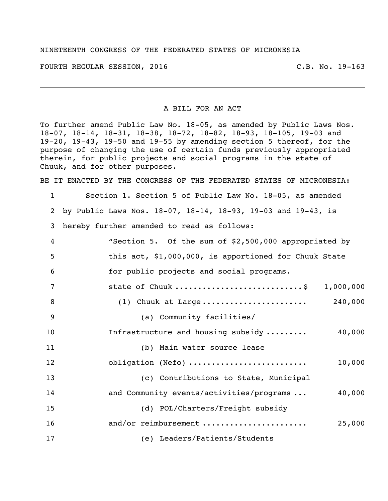## NINETEENTH CONGRESS OF THE FEDERATED STATES OF MICRONESIA

FOURTH REGULAR SESSION, 2016 C.B. No. 19-163

## A BILL FOR AN ACT

To further amend Public Law No. 18-05, as amended by Public Laws Nos. 18-07, 18-14, 18-31, 18-38, 18-72, 18-82, 18-93, 18-105, 19-03 and 19-20, 19-43, 19-50 and 19-55 by amending section 5 thereof, for the purpose of changing the use of certain funds previously appropriated therein, for public projects and social programs in the state of Chuuk, and for other purposes.

BE IT ENACTED BY THE CONGRESS OF THE FEDERATED STATES OF MICRONESIA:

| $\mathbf{1}$ | Section 1. Section 5 of Public Law No. 18-05, as amended     |
|--------------|--------------------------------------------------------------|
| 2            | by Public Laws Nos. 18-07, 18-14, 18-93, 19-03 and 19-43, is |
| 3            | hereby further amended to read as follows:                   |
| 4            | "Section 5. Of the sum of \$2,500,000 appropriated by        |
| 5            | this act, \$1,000,000, is apportioned for Chuuk State        |
| 6            | for public projects and social programs.                     |
| 7            | state of Chuuk \$ 1,000,000                                  |
| 8            | (1) Chuuk at Large 240,000                                   |
| 9            | (a) Community facilities/                                    |
| 10           | Infrastructure and housing subsidy<br>40,000                 |
| 11           | (b) Main water source lease                                  |
| 12           | obligation (Nefo)<br>10,000                                  |
| 13           | (c) Contributions to State, Municipal                        |
| 14           | and Community events/activities/programs<br>40,000           |
| 15           | (d) POL/Charters/Freight subsidy                             |
| 16           | and/or reimbursement<br>25,000                               |
| 17           | (e) Leaders/Patients/Students                                |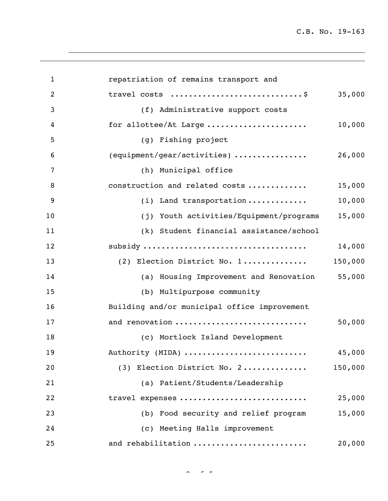C.B. No. 19-163

| $\mathbf{1}$   | repatriation of remains transport and             |
|----------------|---------------------------------------------------|
| 2              | travel costs \$<br>35,000                         |
| 3              | (f) Administrative support costs                  |
| $\overline{4}$ | for allottee/At Large<br>10,000                   |
| 5              | (g) Fishing project                               |
| 6              | (equipment/gear/activities)<br>26,000             |
| 7              | (h) Municipal office                              |
| 8              | construction and related costs<br>15,000          |
| 9              | 10,000<br>(i) Land transportation                 |
| 10             | 15,000<br>(j) Youth activities/Equipment/programs |
| 11             | (k) Student financial assistance/school           |
| 12             | 14,000                                            |
| 13             | 150,000<br>(2) Election District No. 1            |
| 14             | (a) Housing Improvement and Renovation 55,000     |
| 15             | (b) Multipurpose community                        |
| 16             | Building and/or municipal office improvement      |
| 17             | and renovation<br>50,000                          |
| 18             | (c) Mortlock Island Development                   |
| 19             | 45,000<br>Authority (MIDA)                        |
| 20             | (3) Election District No. 2<br>150,000            |
| 21             | (a) Patient/Students/Leadership                   |
| 22             | travel expenses<br>25,000                         |
| 23             | (b) Food security and relief program<br>15,000    |
| 24             | (c) Meeting Halls improvement                     |
| 25             | and rehabilitation<br>20,000                      |

 $\sim$   $\sim$   $\sim$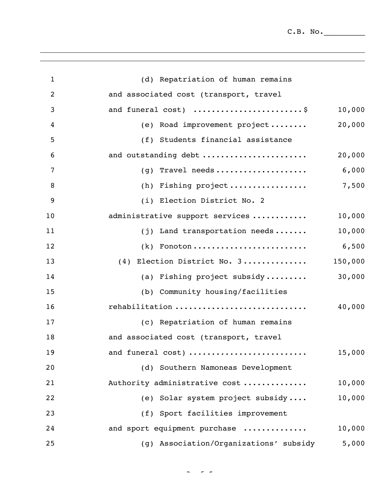$C.B. No.$ 

| $\mathbf{1}$   | (d) Repatriation of human remains                   |         |
|----------------|-----------------------------------------------------|---------|
| $\overline{2}$ | and associated cost (transport, travel              |         |
| 3              | and funeral cost) \$                                | 10,000  |
| $\overline{4}$ | (e) Road improvement project                        | 20,000  |
| 5              | (f) Students financial assistance                   |         |
| 6              | and outstanding debt                                | 20,000  |
| $\overline{7}$ | $(g)$ Travel needs                                  | 6,000   |
| 8              | (h) Fishing $project \dots \dots \dots \dots \dots$ | 7,500   |
| 9              | (i) Election District No. 2                         |         |
| 10             | administrative support services                     | 10,000  |
| 11             | (j) Land transportation needs                       | 10,000  |
| 12             | $(k)$ Fonoton                                       | 6,500   |
| 13             | (4) Election District No. 3                         | 150,000 |
| 14             | (a) Fishing project subsidy                         | 30,000  |
| 15             | (b) Community housing/facilities                    |         |
| 16             | rehabilitation                                      | 40,000  |
| 17             | (c) Repatriation of human remains                   |         |
| 18             | and associated cost (transport, travel              |         |
| 19             | and funeral cost)                                   | 15,000  |
| 20             | (d) Southern Namoneas Development                   |         |
| 21             | Authority administrative cost                       | 10,000  |
| 22             | (e) Solar system project subsidy                    | 10,000  |
| 23             | (f) Sport facilities improvement                    |         |
| 24             | and sport equipment purchase                        | 10,000  |
| 25             | (g) Association/Organizations' subsidy              | 5,000   |

 $\sim$   $\sim$   $\sim$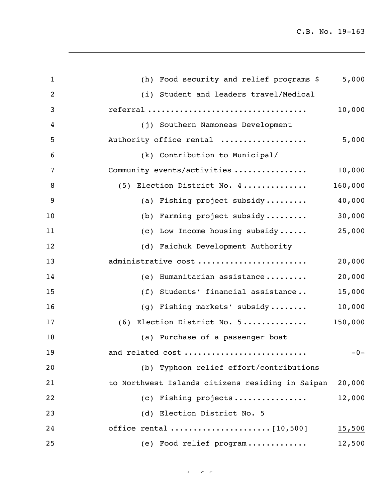C.B. No. 19-163

| $\mathbf{1}$   | (h) Food security and relief programs \$         | 5,000   |
|----------------|--------------------------------------------------|---------|
| $\overline{2}$ | (i) Student and leaders travel/Medical           |         |
| 3              |                                                  | 10,000  |
| $\overline{4}$ | (j) Southern Namoneas Development                |         |
| 5              | Authority office rental                          | 5,000   |
| 6              | (k) Contribution to Municipal/                   |         |
| 7              | Community events/activities                      | 10,000  |
| 8              | (5) Election District No. 4                      | 160,000 |
| 9              | (a) Fishing project subsidy                      | 40,000  |
| 10             | (b) Farming project subsidy                      | 30,000  |
| 11             | (c) Low Income housing subsidy                   | 25,000  |
| 12             | (d) Faichuk Development Authority                |         |
| 13             | administrative cost                              | 20,000  |
| 14             | (e) Humanitarian assistance                      | 20,000  |
| 15             | (f) Students' financial assistance               | 15,000  |
| 16             | (g) Fishing markets' subsidy                     | 10,000  |
| 17             | (6) Election District No. 5                      | 150,000 |
| 18             | (a) Purchase of a passenger boat                 |         |
| 19             | and related cost                                 | $-0-$   |
| 20             | (b) Typhoon relief effort/contributions          |         |
| 21             | to Northwest Islands citizens residing in Saipan | 20,000  |
| 22             | (c) Fishing projects                             | 12,000  |
| 23             | (d) Election District No. 5                      |         |
| 24             |                                                  | 15,500  |
| 25             | (e) Food relief program                          | 12,500  |
|                |                                                  |         |

 $4 - 5 - 5$